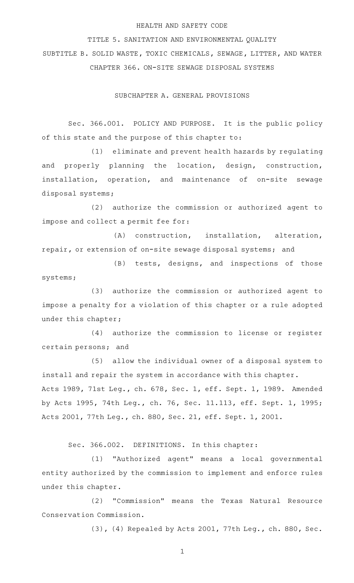## HEALTH AND SAFETY CODE

TITLE 5. SANITATION AND ENVIRONMENTAL QUALITY SUBTITLE B. SOLID WASTE, TOXIC CHEMICALS, SEWAGE, LITTER, AND WATER CHAPTER 366. ON-SITE SEWAGE DISPOSAL SYSTEMS

SUBCHAPTER A. GENERAL PROVISIONS

Sec. 366.001. POLICY AND PURPOSE. It is the public policy of this state and the purpose of this chapter to:

(1) eliminate and prevent health hazards by regulating and properly planning the location, design, construction, installation, operation, and maintenance of on-site sewage disposal systems;

(2) authorize the commission or authorized agent to impose and collect a permit fee for:

(A) construction, installation, alteration, repair, or extension of on-site sewage disposal systems; and

(B) tests, designs, and inspections of those systems;

(3) authorize the commission or authorized agent to impose a penalty for a violation of this chapter or a rule adopted under this chapter;

(4) authorize the commission to license or register certain persons; and

(5) allow the individual owner of a disposal system to install and repair the system in accordance with this chapter. Acts 1989, 71st Leg., ch. 678, Sec. 1, eff. Sept. 1, 1989. Amended by Acts 1995, 74th Leg., ch. 76, Sec. 11.113, eff. Sept. 1, 1995; Acts 2001, 77th Leg., ch. 880, Sec. 21, eff. Sept. 1, 2001.

Sec. 366.002. DEFINITIONS. In this chapter:

(1) "Authorized agent" means a local governmental entity authorized by the commission to implement and enforce rules under this chapter.

(2) "Commission" means the Texas Natural Resource Conservation Commission.

(3), (4) Repealed by Acts 2001, 77th Leg., ch. 880, Sec.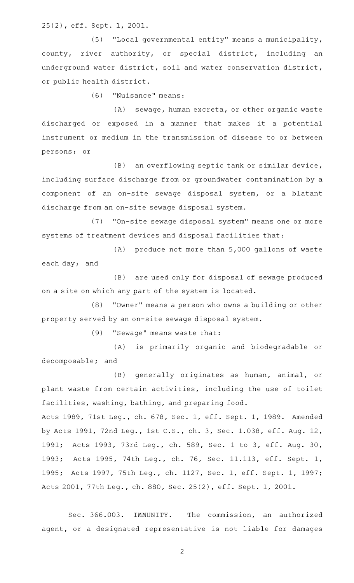25(2), eff. Sept. 1, 2001.

(5) "Local governmental entity" means a municipality, county, river authority, or special district, including an underground water district, soil and water conservation district, or public health district.

(6) "Nuisance" means:

(A) sewage, human excreta, or other organic waste discharged or exposed in a manner that makes it a potential instrument or medium in the transmission of disease to or between persons; or

 $(B)$  an overflowing septic tank or similar device, including surface discharge from or groundwater contamination by a component of an on-site sewage disposal system, or a blatant discharge from an on-site sewage disposal system.

(7) "On-site sewage disposal system" means one or more systems of treatment devices and disposal facilities that:

(A) produce not more than 5,000 gallons of waste each day; and

(B) are used only for disposal of sewage produced on a site on which any part of the system is located.

(8) "Owner" means a person who owns a building or other property served by an on-site sewage disposal system.

(9) "Sewage" means waste that:

(A) is primarily organic and biodegradable or decomposable; and

(B) generally originates as human, animal, or plant waste from certain activities, including the use of toilet facilities, washing, bathing, and preparing food.

Acts 1989, 71st Leg., ch. 678, Sec. 1, eff. Sept. 1, 1989. Amended by Acts 1991, 72nd Leg., 1st C.S., ch. 3, Sec. 1.038, eff. Aug. 12, 1991; Acts 1993, 73rd Leg., ch. 589, Sec. 1 to 3, eff. Aug. 30, 1993; Acts 1995, 74th Leg., ch. 76, Sec. 11.113, eff. Sept. 1, 1995; Acts 1997, 75th Leg., ch. 1127, Sec. 1, eff. Sept. 1, 1997; Acts 2001, 77th Leg., ch. 880, Sec. 25(2), eff. Sept. 1, 2001.

Sec. 366.003. IMMUNITY. The commission, an authorized agent, or a designated representative is not liable for damages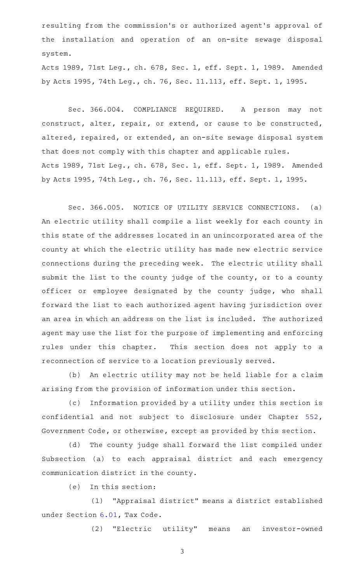resulting from the commission 's or authorized agent 's approval of the installation and operation of an on-site sewage disposal system.

Acts 1989, 71st Leg., ch. 678, Sec. 1, eff. Sept. 1, 1989. Amended by Acts 1995, 74th Leg., ch. 76, Sec. 11.113, eff. Sept. 1, 1995.

Sec. 366.004. COMPLIANCE REQUIRED. A person may not construct, alter, repair, or extend, or cause to be constructed, altered, repaired, or extended, an on-site sewage disposal system that does not comply with this chapter and applicable rules. Acts 1989, 71st Leg., ch. 678, Sec. 1, eff. Sept. 1, 1989. Amended by Acts 1995, 74th Leg., ch. 76, Sec. 11.113, eff. Sept. 1, 1995.

Sec. 366.005. NOTICE OF UTILITY SERVICE CONNECTIONS. (a) An electric utility shall compile a list weekly for each county in this state of the addresses located in an unincorporated area of the county at which the electric utility has made new electric service connections during the preceding week. The electric utility shall submit the list to the county judge of the county, or to a county officer or employee designated by the county judge, who shall forward the list to each authorized agent having jurisdiction over an area in which an address on the list is included. The authorized agent may use the list for the purpose of implementing and enforcing rules under this chapter. This section does not apply to a reconnection of service to a location previously served.

(b) An electric utility may not be held liable for a claim arising from the provision of information under this section.

(c) Information provided by a utility under this section is confidential and not subject to disclosure under Chapter [552](http://www.statutes.legis.state.tx.us/GetStatute.aspx?Code=GV&Value=552), Government Code, or otherwise, except as provided by this section.

(d) The county judge shall forward the list compiled under Subsection (a) to each appraisal district and each emergency communication district in the county.

 $(e)$  In this section:

(1) "Appraisal district" means a district established under Section [6.01,](http://www.statutes.legis.state.tx.us/GetStatute.aspx?Code=TX&Value=6.01) Tax Code.

(2) "Electric utility" means an investor-owned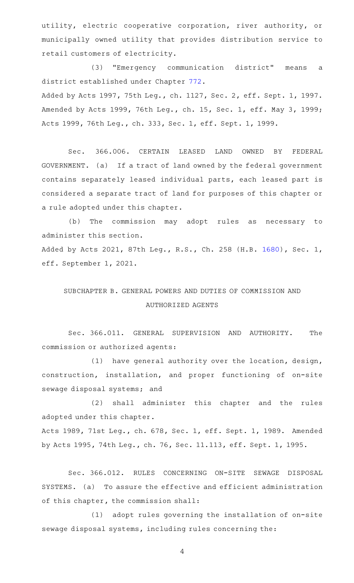utility, electric cooperative corporation, river authority, or municipally owned utility that provides distribution service to retail customers of electricity.

(3) "Emergency communication district" means a district established under Chapter [772.](http://www.statutes.legis.state.tx.us/GetStatute.aspx?Code=HS&Value=772)

Added by Acts 1997, 75th Leg., ch. 1127, Sec. 2, eff. Sept. 1, 1997. Amended by Acts 1999, 76th Leg., ch. 15, Sec. 1, eff. May 3, 1999; Acts 1999, 76th Leg., ch. 333, Sec. 1, eff. Sept. 1, 1999.

Sec. 366.006. CERTAIN LEASED LAND OWNED BY FEDERAL GOVERNMENT. (a) If a tract of land owned by the federal government contains separately leased individual parts, each leased part is considered a separate tract of land for purposes of this chapter or a rule adopted under this chapter.

(b) The commission may adopt rules as necessary to administer this section. Added by Acts 2021, 87th Leg., R.S., Ch. 258 (H.B. [1680](http://www.legis.state.tx.us/tlodocs/87R/billtext/html/HB01680F.HTM)), Sec. 1, eff. September 1, 2021.

# SUBCHAPTER B. GENERAL POWERS AND DUTIES OF COMMISSION AND AUTHORIZED AGENTS

Sec. 366.011. GENERAL SUPERVISION AND AUTHORITY. The commission or authorized agents:

 $(1)$  have general authority over the location, design, construction, installation, and proper functioning of on-site sewage disposal systems; and

(2) shall administer this chapter and the rules adopted under this chapter.

Acts 1989, 71st Leg., ch. 678, Sec. 1, eff. Sept. 1, 1989. Amended by Acts 1995, 74th Leg., ch. 76, Sec. 11.113, eff. Sept. 1, 1995.

Sec. 366.012. RULES CONCERNING ON-SITE SEWAGE DISPOSAL SYSTEMS. (a) To assure the effective and efficient administration of this chapter, the commission shall:

(1) adopt rules governing the installation of on-site sewage disposal systems, including rules concerning the: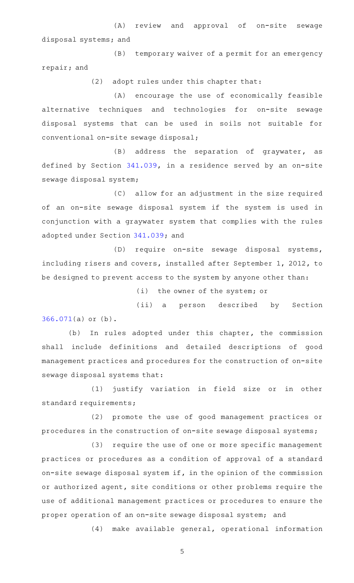(A) review and approval of on-site sewage disposal systems; and

(B) temporary waiver of a permit for an emergency repair; and

(2) adopt rules under this chapter that:

(A) encourage the use of economically feasible alternative techniques and technologies for on-site sewage disposal systems that can be used in soils not suitable for conventional on-site sewage disposal;

(B) address the separation of graywater, as defined by Section [341.039](http://www.statutes.legis.state.tx.us/GetStatute.aspx?Code=HS&Value=341.039), in a residence served by an on-site sewage disposal system;

(C) allow for an adjustment in the size required of an on-site sewage disposal system if the system is used in conjunction with a graywater system that complies with the rules adopted under Section [341.039](http://www.statutes.legis.state.tx.us/GetStatute.aspx?Code=HS&Value=341.039); and

(D) require on-site sewage disposal systems, including risers and covers, installed after September 1, 2012, to be designed to prevent access to the system by anyone other than:

(i) the owner of the system; or

(ii) a person described by Section [366.071\(](http://www.statutes.legis.state.tx.us/GetStatute.aspx?Code=HS&Value=366.071)a) or (b).

(b) In rules adopted under this chapter, the commission shall include definitions and detailed descriptions of good management practices and procedures for the construction of on-site sewage disposal systems that:

(1) justify variation in field size or in other standard requirements;

(2) promote the use of good management practices or procedures in the construction of on-site sewage disposal systems;

(3) require the use of one or more specific management practices or procedures as a condition of approval of a standard on-site sewage disposal system if, in the opinion of the commission or authorized agent, site conditions or other problems require the use of additional management practices or procedures to ensure the proper operation of an on-site sewage disposal system; and

(4) make available general, operational information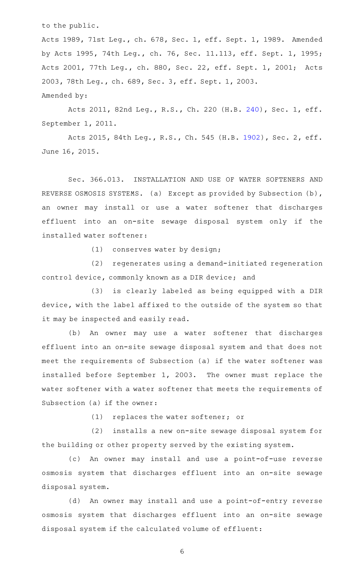to the public.

Acts 1989, 71st Leg., ch. 678, Sec. 1, eff. Sept. 1, 1989. Amended by Acts 1995, 74th Leg., ch. 76, Sec. 11.113, eff. Sept. 1, 1995; Acts 2001, 77th Leg., ch. 880, Sec. 22, eff. Sept. 1, 2001; Acts 2003, 78th Leg., ch. 689, Sec. 3, eff. Sept. 1, 2003. Amended by:

Acts 2011, 82nd Leg., R.S., Ch. 220 (H.B. [240](http://www.legis.state.tx.us/tlodocs/82R/billtext/html/HB00240F.HTM)), Sec. 1, eff. September 1, 2011.

Acts 2015, 84th Leg., R.S., Ch. 545 (H.B. [1902](http://www.legis.state.tx.us/tlodocs/84R/billtext/html/HB01902F.HTM)), Sec. 2, eff. June 16, 2015.

Sec. 366.013. INSTALLATION AND USE OF WATER SOFTENERS AND REVERSE OSMOSIS SYSTEMS. (a) Except as provided by Subsection (b), an owner may install or use a water softener that discharges effluent into an on-site sewage disposal system only if the installed water softener:

(1) conserves water by design;

(2) regenerates using a demand-initiated regeneration control device, commonly known as a DIR device; and

(3) is clearly labeled as being equipped with a DIR device, with the label affixed to the outside of the system so that it may be inspected and easily read.

(b) An owner may use a water softener that discharges effluent into an on-site sewage disposal system and that does not meet the requirements of Subsection (a) if the water softener was installed before September 1, 2003. The owner must replace the water softener with a water softener that meets the requirements of Subsection (a) if the owner:

 $(1)$  replaces the water softener; or

(2) installs a new on-site sewage disposal system for the building or other property served by the existing system.

(c) An owner may install and use a point-of-use reverse osmosis system that discharges effluent into an on-site sewage disposal system.

(d) An owner may install and use a point-of-entry reverse osmosis system that discharges effluent into an on-site sewage disposal system if the calculated volume of effluent: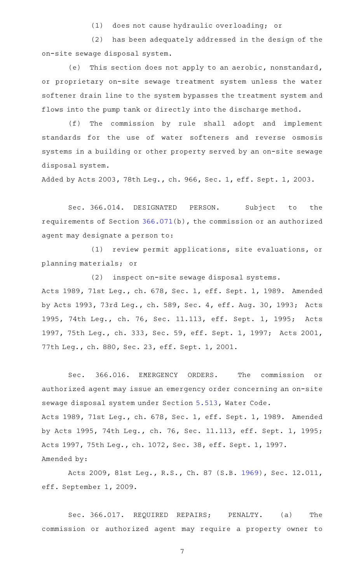(1) does not cause hydraulic overloading; or

(2) has been adequately addressed in the design of the on-site sewage disposal system.

(e) This section does not apply to an aerobic, nonstandard, or proprietary on-site sewage treatment system unless the water softener drain line to the system bypasses the treatment system and flows into the pump tank or directly into the discharge method.

(f) The commission by rule shall adopt and implement standards for the use of water softeners and reverse osmosis systems in a building or other property served by an on-site sewage disposal system.

Added by Acts 2003, 78th Leg., ch. 966, Sec. 1, eff. Sept. 1, 2003.

Sec. 366.014. DESIGNATED PERSON. Subject to the requirements of Section [366.071\(](http://www.statutes.legis.state.tx.us/GetStatute.aspx?Code=HS&Value=366.071)b), the commission or an authorized agent may designate a person to:

(1) review permit applications, site evaluations, or planning materials; or

(2) inspect on-site sewage disposal systems. Acts 1989, 71st Leg., ch. 678, Sec. 1, eff. Sept. 1, 1989. Amended by Acts 1993, 73rd Leg., ch. 589, Sec. 4, eff. Aug. 30, 1993; Acts 1995, 74th Leg., ch. 76, Sec. 11.113, eff. Sept. 1, 1995; Acts 1997, 75th Leg., ch. 333, Sec. 59, eff. Sept. 1, 1997; Acts 2001, 77th Leg., ch. 880, Sec. 23, eff. Sept. 1, 2001.

Sec. 366.016. EMERGENCY ORDERS. The commission or authorized agent may issue an emergency order concerning an on-site sewage disposal system under Section [5.513](http://www.statutes.legis.state.tx.us/GetStatute.aspx?Code=WA&Value=5.513), Water Code. Acts 1989, 71st Leg., ch. 678, Sec. 1, eff. Sept. 1, 1989. Amended by Acts 1995, 74th Leg., ch. 76, Sec. 11.113, eff. Sept. 1, 1995; Acts 1997, 75th Leg., ch. 1072, Sec. 38, eff. Sept. 1, 1997. Amended by:

Acts 2009, 81st Leg., R.S., Ch. 87 (S.B. [1969](http://www.legis.state.tx.us/tlodocs/81R/billtext/html/SB01969F.HTM)), Sec. 12.011, eff. September 1, 2009.

Sec. 366.017. REQUIRED REPAIRS; PENALTY. (a) The commission or authorized agent may require a property owner to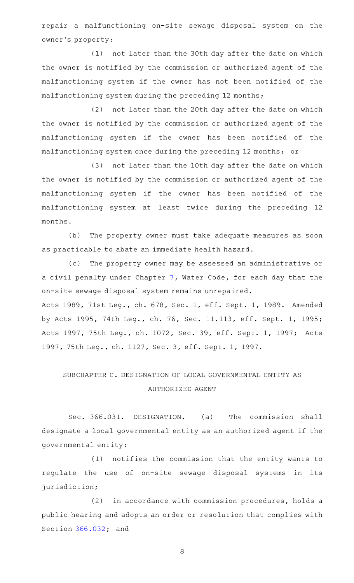repair a malfunctioning on-site sewage disposal system on the owner 's property:

(1) not later than the 30th day after the date on which the owner is notified by the commission or authorized agent of the malfunctioning system if the owner has not been notified of the malfunctioning system during the preceding 12 months;

(2) not later than the 20th day after the date on which the owner is notified by the commission or authorized agent of the malfunctioning system if the owner has been notified of the malfunctioning system once during the preceding 12 months; or

(3) not later than the 10th day after the date on which the owner is notified by the commission or authorized agent of the malfunctioning system if the owner has been notified of the malfunctioning system at least twice during the preceding 12 months.

(b) The property owner must take adequate measures as soon as practicable to abate an immediate health hazard.

(c) The property owner may be assessed an administrative or a civil penalty under Chapter [7,](http://www.statutes.legis.state.tx.us/GetStatute.aspx?Code=WA&Value=7) Water Code, for each day that the on-site sewage disposal system remains unrepaired.

Acts 1989, 71st Leg., ch. 678, Sec. 1, eff. Sept. 1, 1989. Amended by Acts 1995, 74th Leg., ch. 76, Sec. 11.113, eff. Sept. 1, 1995; Acts 1997, 75th Leg., ch. 1072, Sec. 39, eff. Sept. 1, 1997; Acts 1997, 75th Leg., ch. 1127, Sec. 3, eff. Sept. 1, 1997.

# SUBCHAPTER C. DESIGNATION OF LOCAL GOVERNMENTAL ENTITY AS AUTHORIZED AGENT

Sec. 366.031. DESIGNATION. (a) The commission shall designate a local governmental entity as an authorized agent if the governmental entity:

(1) notifies the commission that the entity wants to regulate the use of on-site sewage disposal systems in its jurisdiction;

(2) in accordance with commission procedures, holds a public hearing and adopts an order or resolution that complies with Section [366.032;](http://www.statutes.legis.state.tx.us/GetStatute.aspx?Code=HS&Value=366.032) and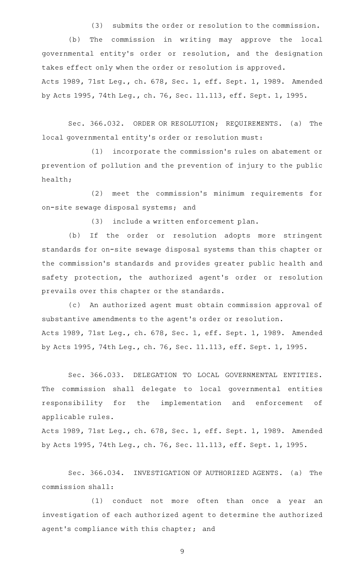(3) submits the order or resolution to the commission.

(b) The commission in writing may approve the local governmental entity's order or resolution, and the designation takes effect only when the order or resolution is approved. Acts 1989, 71st Leg., ch. 678, Sec. 1, eff. Sept. 1, 1989. Amended by Acts 1995, 74th Leg., ch. 76, Sec. 11.113, eff. Sept. 1, 1995.

Sec. 366.032. ORDER OR RESOLUTION; REQUIREMENTS. (a) The local governmental entity 's order or resolution must:

(1) incorporate the commission's rules on abatement or prevention of pollution and the prevention of injury to the public health;

(2) meet the commission's minimum requirements for on-site sewage disposal systems; and

(3) include a written enforcement plan.

(b) If the order or resolution adopts more stringent standards for on-site sewage disposal systems than this chapter or the commission 's standards and provides greater public health and safety protection, the authorized agent's order or resolution prevails over this chapter or the standards.

(c) An authorized agent must obtain commission approval of substantive amendments to the agent 's order or resolution. Acts 1989, 71st Leg., ch. 678, Sec. 1, eff. Sept. 1, 1989. Amended by Acts 1995, 74th Leg., ch. 76, Sec. 11.113, eff. Sept. 1, 1995.

Sec. 366.033. DELEGATION TO LOCAL GOVERNMENTAL ENTITIES. The commission shall delegate to local governmental entities responsibility for the implementation and enforcement of applicable rules.

Acts 1989, 71st Leg., ch. 678, Sec. 1, eff. Sept. 1, 1989. Amended by Acts 1995, 74th Leg., ch. 76, Sec. 11.113, eff. Sept. 1, 1995.

Sec. 366.034. INVESTIGATION OF AUTHORIZED AGENTS. (a) The commission shall:

(1) conduct not more often than once a year an investigation of each authorized agent to determine the authorized agent's compliance with this chapter; and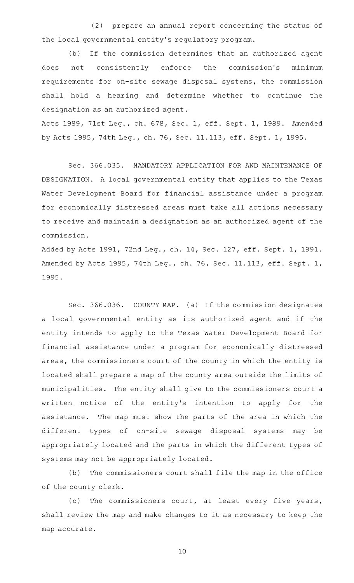(2) prepare an annual report concerning the status of the local governmental entity's regulatory program.

(b) If the commission determines that an authorized agent does not consistently enforce the commission's minimum requirements for on-site sewage disposal systems, the commission shall hold a hearing and determine whether to continue the designation as an authorized agent.

Acts 1989, 71st Leg., ch. 678, Sec. 1, eff. Sept. 1, 1989. Amended by Acts 1995, 74th Leg., ch. 76, Sec. 11.113, eff. Sept. 1, 1995.

Sec. 366.035. MANDATORY APPLICATION FOR AND MAINTENANCE OF DESIGNATION. A local governmental entity that applies to the Texas Water Development Board for financial assistance under a program for economically distressed areas must take all actions necessary to receive and maintain a designation as an authorized agent of the commission.

Added by Acts 1991, 72nd Leg., ch. 14, Sec. 127, eff. Sept. 1, 1991. Amended by Acts 1995, 74th Leg., ch. 76, Sec. 11.113, eff. Sept. 1, 1995.

Sec. 366.036. COUNTY MAP. (a) If the commission designates a local governmental entity as its authorized agent and if the entity intends to apply to the Texas Water Development Board for financial assistance under a program for economically distressed areas, the commissioners court of the county in which the entity is located shall prepare a map of the county area outside the limits of municipalities. The entity shall give to the commissioners court a written notice of the entity's intention to apply for the assistance. The map must show the parts of the area in which the different types of on-site sewage disposal systems may be appropriately located and the parts in which the different types of systems may not be appropriately located.

(b) The commissioners court shall file the map in the office of the county clerk.

(c) The commissioners court, at least every five years, shall review the map and make changes to it as necessary to keep the map accurate.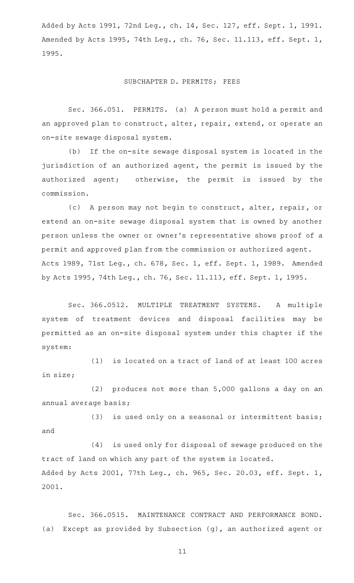Added by Acts 1991, 72nd Leg., ch. 14, Sec. 127, eff. Sept. 1, 1991. Amended by Acts 1995, 74th Leg., ch. 76, Sec. 11.113, eff. Sept. 1, 1995.

#### SUBCHAPTER D. PERMITS; FEES

Sec. 366.051. PERMITS. (a) A person must hold a permit and an approved plan to construct, alter, repair, extend, or operate an on-site sewage disposal system.

(b) If the on-site sewage disposal system is located in the jurisdiction of an authorized agent, the permit is issued by the authorized agent; otherwise, the permit is issued by the commission.

(c) A person may not begin to construct, alter, repair, or extend an on-site sewage disposal system that is owned by another person unless the owner or owner 's representative shows proof of a permit and approved plan from the commission or authorized agent. Acts 1989, 71st Leg., ch. 678, Sec. 1, eff. Sept. 1, 1989. Amended by Acts 1995, 74th Leg., ch. 76, Sec. 11.113, eff. Sept. 1, 1995.

Sec. 366.0512. MULTIPLE TREATMENT SYSTEMS. A multiple system of treatment devices and disposal facilities may be permitted as an on-site disposal system under this chapter if the system:

(1) is located on a tract of land of at least 100 acres in size;

(2) produces not more than  $5,000$  gallons a day on an annual average basis;

 $(3)$  is used only on a seasonal or intermittent basis; and

 $(4)$  is used only for disposal of sewage produced on the tract of land on which any part of the system is located. Added by Acts 2001, 77th Leg., ch. 965, Sec. 20.03, eff. Sept. 1, 2001.

Sec. 366.0515. MAINTENANCE CONTRACT AND PERFORMANCE BOND. (a) Except as provided by Subsection (g), an authorized agent or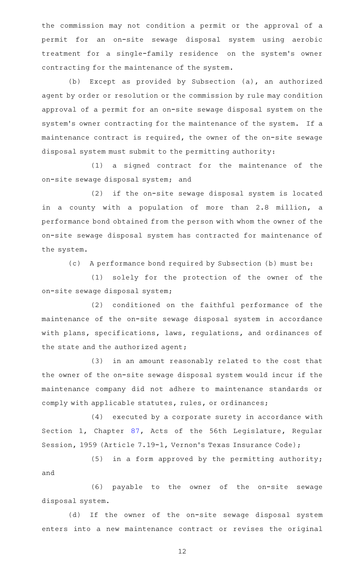the commission may not condition a permit or the approval of a permit for an on-site sewage disposal system using aerobic treatment for a single-family residence on the system's owner contracting for the maintenance of the system.

(b) Except as provided by Subsection (a), an authorized agent by order or resolution or the commission by rule may condition approval of a permit for an on-site sewage disposal system on the system 's owner contracting for the maintenance of the system. If a maintenance contract is required, the owner of the on-site sewage disposal system must submit to the permitting authority:

 $(1)$  a signed contract for the maintenance of the on-site sewage disposal system; and

(2) if the on-site sewage disposal system is located in a county with a population of more than 2.8 million, a performance bond obtained from the person with whom the owner of the on-site sewage disposal system has contracted for maintenance of the system.

(c) A performance bond required by Subsection (b) must be:

(1) solely for the protection of the owner of the on-site sewage disposal system;

(2) conditioned on the faithful performance of the maintenance of the on-site sewage disposal system in accordance with plans, specifications, laws, regulations, and ordinances of the state and the authorized agent;

(3) in an amount reasonably related to the cost that the owner of the on-site sewage disposal system would incur if the maintenance company did not adhere to maintenance standards or comply with applicable statutes, rules, or ordinances;

 $(4)$  executed by a corporate surety in accordance with Section 1, Chapter [87,](http://www.statutes.legis.state.tx.us/GetStatute.aspx?Code=HS&Value=87) Acts of the 56th Legislature, Regular Session, 1959 (Article 7.19-1, Vernon's Texas Insurance Code);

(5) in a form approved by the permitting authority; and

(6) payable to the owner of the on-site sewage disposal system.

(d) If the owner of the on-site sewage disposal system enters into a new maintenance contract or revises the original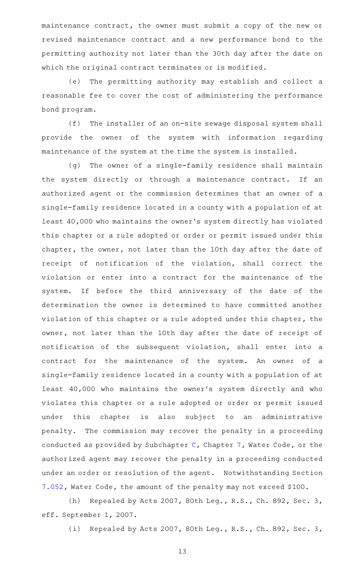maintenance contract, the owner must submit a copy of the new or revised maintenance contract and a new performance bond to the permitting authority not later than the 30th day after the date on which the original contract terminates or is modified.

(e) The permitting authority may establish and collect a reasonable fee to cover the cost of administering the performance bond program.

(f) The installer of an on-site sewage disposal system shall provide the owner of the system with information regarding maintenance of the system at the time the system is installed.

(g) The owner of a single-family residence shall maintain the system directly or through a maintenance contract. If an authorized agent or the commission determines that an owner of a single-family residence located in a county with a population of at least 40,000 who maintains the owner 's system directly has violated this chapter or a rule adopted or order or permit issued under this chapter, the owner, not later than the 10th day after the date of receipt of notification of the violation, shall correct the violation or enter into a contract for the maintenance of the system. If before the third anniversary of the date of the determination the owner is determined to have committed another violation of this chapter or a rule adopted under this chapter, the owner, not later than the 10th day after the date of receipt of notification of the subsequent violation, shall enter into a contract for the maintenance of the system. An owner of a single-family residence located in a county with a population of at least 40,000 who maintains the owner 's system directly and who violates this chapter or a rule adopted or order or permit issued under this chapter is also subject to an administrative penalty. The commission may recover the penalty in a proceeding conducted as provided by Subchapter  $C$ , Chapter  $7$ , Water Code, or the authorized agent may recover the penalty in a proceeding conducted under an order or resolution of the agent. Notwithstanding Section [7.052,](http://www.statutes.legis.state.tx.us/GetStatute.aspx?Code=WA&Value=7.052) Water Code, the amount of the penalty may not exceed \$100.

(h) Repealed by Acts 2007, 80th Leg., R.S., Ch. 892, Sec. 3, eff. September 1, 2007.

(i) Repealed by Acts 2007, 80th Leg., R.S., Ch. 892, Sec. 3,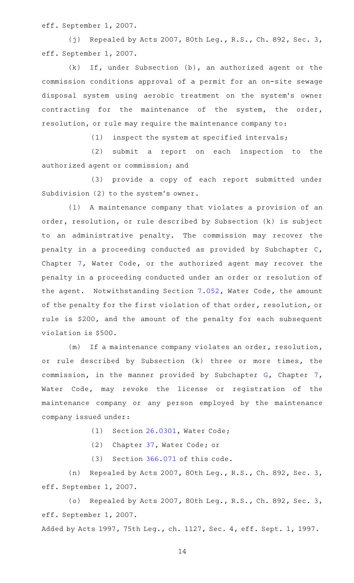eff. September 1, 2007.

(j) Repealed by Acts 2007, 80th Leg., R.S., Ch. 892, Sec. 3, eff. September 1, 2007.

 $(k)$  If, under Subsection  $(b)$ , an authorized agent or the commission conditions approval of a permit for an on-site sewage disposal system using aerobic treatment on the system's owner contracting for the maintenance of the system, the order, resolution, or rule may require the maintenance company to:

 $(1)$  inspect the system at specified intervals;

(2) submit a report on each inspection to the authorized agent or commission; and

(3) provide a copy of each report submitted under Subdivision (2) to the system's owner.

(1) A maintenance company that violates a provision of an order, resolution, or rule described by Subsection (k) is subject to an administrative penalty. The commission may recover the penalty in a proceeding conducted as provided by Subchapter [C](http://www.statutes.legis.state.tx.us/GetStatute.aspx?Code=WA&Value=7.051), Chapter [7,](http://www.statutes.legis.state.tx.us/GetStatute.aspx?Code=WA&Value=7) Water Code, or the authorized agent may recover the penalty in a proceeding conducted under an order or resolution of the agent. Notwithstanding Section [7.052](http://www.statutes.legis.state.tx.us/GetStatute.aspx?Code=WA&Value=7.052), Water Code, the amount of the penalty for the first violation of that order, resolution, or rule is \$200, and the amount of the penalty for each subsequent violation is \$500.

(m) If a maintenance company violates an order, resolution, or rule described by Subsection (k) three or more times, the commission, in the manner provided by Subchapter [G](http://www.statutes.legis.state.tx.us/GetStatute.aspx?Code=WA&Value=7.301), Chapter [7](http://www.statutes.legis.state.tx.us/GetStatute.aspx?Code=WA&Value=7), Water Code, may revoke the license or registration of the maintenance company or any person employed by the maintenance company issued under:

 $(1)$  Section [26.0301,](http://www.statutes.legis.state.tx.us/GetStatute.aspx?Code=WA&Value=26.0301) Water Code;

(2) Chapter  $37$ , Water Code; or

 $(3)$  Section [366.071](http://www.statutes.legis.state.tx.us/GetStatute.aspx?Code=HS&Value=366.071) of this code.

(n) Repealed by Acts 2007, 80th Leg., R.S., Ch. 892, Sec. 3, eff. September 1, 2007.

(o) Repealed by Acts 2007, 80th Leg., R.S., Ch. 892, Sec. 3, eff. September 1, 2007.

Added by Acts 1997, 75th Leg., ch. 1127, Sec. 4, eff. Sept. 1, 1997.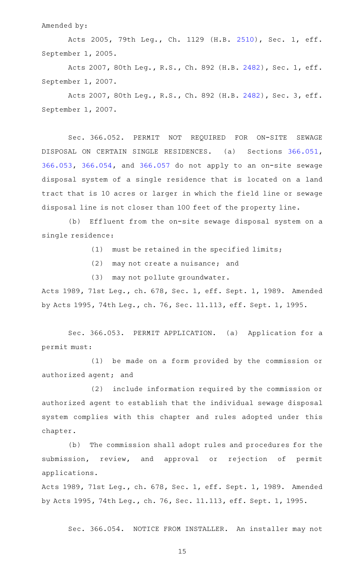Amended by:

Acts 2005, 79th Leg., Ch. 1129 (H.B. [2510](http://www.legis.state.tx.us/tlodocs/79R/billtext/html/HB02510F.HTM)), Sec. 1, eff. September 1, 2005.

Acts 2007, 80th Leg., R.S., Ch. 892 (H.B. [2482](http://www.legis.state.tx.us/tlodocs/80R/billtext/html/HB02482F.HTM)), Sec. 1, eff. September 1, 2007.

Acts 2007, 80th Leg., R.S., Ch. 892 (H.B. [2482](http://www.legis.state.tx.us/tlodocs/80R/billtext/html/HB02482F.HTM)), Sec. 3, eff. September 1, 2007.

Sec. 366.052. PERMIT NOT REQUIRED FOR ON-SITE SEWAGE DISPOSAL ON CERTAIN SINGLE RESIDENCES. (a) Sections [366.051](http://www.statutes.legis.state.tx.us/GetStatute.aspx?Code=HS&Value=366.051), [366.053,](http://www.statutes.legis.state.tx.us/GetStatute.aspx?Code=HS&Value=366.053) [366.054,](http://www.statutes.legis.state.tx.us/GetStatute.aspx?Code=HS&Value=366.054) and [366.057](http://www.statutes.legis.state.tx.us/GetStatute.aspx?Code=HS&Value=366.057) do not apply to an on-site sewage disposal system of a single residence that is located on a land tract that is 10 acres or larger in which the field line or sewage disposal line is not closer than 100 feet of the property line.

(b) Effluent from the on-site sewage disposal system on a single residence:

 $(1)$  must be retained in the specified limits;

 $(2)$  may not create a nuisance; and

(3) may not pollute groundwater.

Acts 1989, 71st Leg., ch. 678, Sec. 1, eff. Sept. 1, 1989. Amended by Acts 1995, 74th Leg., ch. 76, Sec. 11.113, eff. Sept. 1, 1995.

Sec. 366.053. PERMIT APPLICATION. (a) Application for a permit must:

(1) be made on a form provided by the commission or authorized agent; and

(2) include information required by the commission or authorized agent to establish that the individual sewage disposal system complies with this chapter and rules adopted under this chapter.

(b) The commission shall adopt rules and procedures for the submission, review, and approval or rejection of permit applications.

Acts 1989, 71st Leg., ch. 678, Sec. 1, eff. Sept. 1, 1989. Amended by Acts 1995, 74th Leg., ch. 76, Sec. 11.113, eff. Sept. 1, 1995.

Sec. 366.054. NOTICE FROM INSTALLER. An installer may not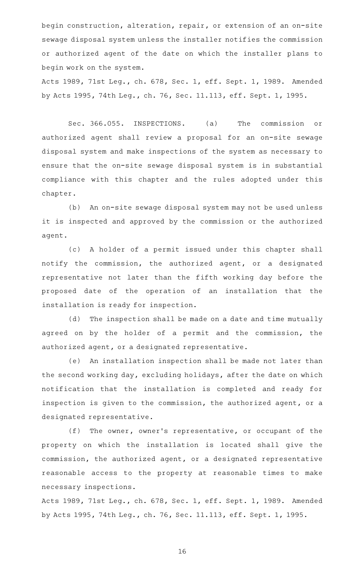begin construction, alteration, repair, or extension of an on-site sewage disposal system unless the installer notifies the commission or authorized agent of the date on which the installer plans to begin work on the system.

Acts 1989, 71st Leg., ch. 678, Sec. 1, eff. Sept. 1, 1989. Amended by Acts 1995, 74th Leg., ch. 76, Sec. 11.113, eff. Sept. 1, 1995.

Sec. 366.055. INSPECTIONS. (a) The commission or authorized agent shall review a proposal for an on-site sewage disposal system and make inspections of the system as necessary to ensure that the on-site sewage disposal system is in substantial compliance with this chapter and the rules adopted under this chapter.

(b) An on-site sewage disposal system may not be used unless it is inspected and approved by the commission or the authorized agent.

(c)AAA holder of a permit issued under this chapter shall notify the commission, the authorized agent, or a designated representative not later than the fifth working day before the proposed date of the operation of an installation that the installation is ready for inspection.

(d) The inspection shall be made on a date and time mutually agreed on by the holder of a permit and the commission, the authorized agent, or a designated representative.

(e) An installation inspection shall be made not later than the second working day, excluding holidays, after the date on which notification that the installation is completed and ready for inspection is given to the commission, the authorized agent, or a designated representative.

 $(f)$  The owner, owner's representative, or occupant of the property on which the installation is located shall give the commission, the authorized agent, or a designated representative reasonable access to the property at reasonable times to make necessary inspections.

Acts 1989, 71st Leg., ch. 678, Sec. 1, eff. Sept. 1, 1989. Amended by Acts 1995, 74th Leg., ch. 76, Sec. 11.113, eff. Sept. 1, 1995.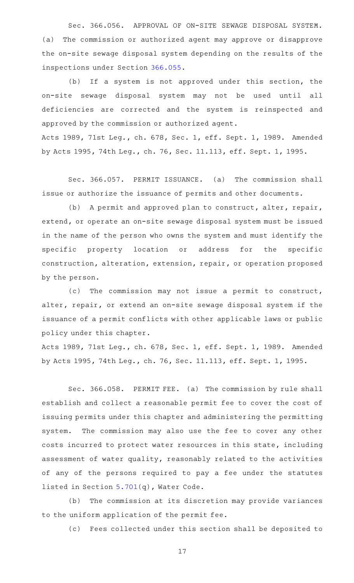Sec. 366.056. APPROVAL OF ON-SITE SEWAGE DISPOSAL SYSTEM. (a) The commission or authorized agent may approve or disapprove the on-site sewage disposal system depending on the results of the inspections under Section [366.055.](http://www.statutes.legis.state.tx.us/GetStatute.aspx?Code=HS&Value=366.055)

(b) If a system is not approved under this section, the on-site sewage disposal system may not be used until all deficiencies are corrected and the system is reinspected and approved by the commission or authorized agent.

Acts 1989, 71st Leg., ch. 678, Sec. 1, eff. Sept. 1, 1989. Amended by Acts 1995, 74th Leg., ch. 76, Sec. 11.113, eff. Sept. 1, 1995.

Sec. 366.057. PERMIT ISSUANCE. (a) The commission shall issue or authorize the issuance of permits and other documents.

(b) A permit and approved plan to construct, alter, repair, extend, or operate an on-site sewage disposal system must be issued in the name of the person who owns the system and must identify the specific property location or address for the specific construction, alteration, extension, repair, or operation proposed by the person.

(c) The commission may not issue a permit to construct, alter, repair, or extend an on-site sewage disposal system if the issuance of a permit conflicts with other applicable laws or public policy under this chapter.

Acts 1989, 71st Leg., ch. 678, Sec. 1, eff. Sept. 1, 1989. Amended by Acts 1995, 74th Leg., ch. 76, Sec. 11.113, eff. Sept. 1, 1995.

Sec. 366.058. PERMIT FEE. (a) The commission by rule shall establish and collect a reasonable permit fee to cover the cost of issuing permits under this chapter and administering the permitting system. The commission may also use the fee to cover any other costs incurred to protect water resources in this state, including assessment of water quality, reasonably related to the activities of any of the persons required to pay a fee under the statutes listed in Section [5.701](http://www.statutes.legis.state.tx.us/GetStatute.aspx?Code=WA&Value=5.701)(q), Water Code.

(b) The commission at its discretion may provide variances to the uniform application of the permit fee.

(c) Fees collected under this section shall be deposited to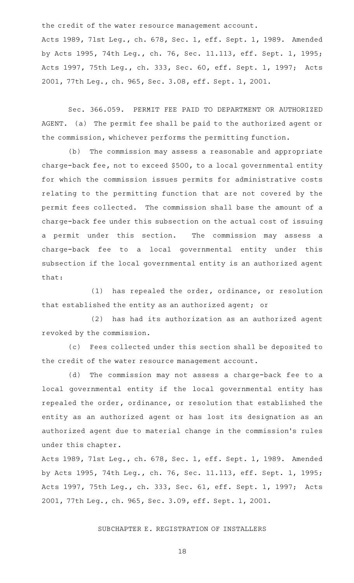the credit of the water resource management account.

Acts 1989, 71st Leg., ch. 678, Sec. 1, eff. Sept. 1, 1989. Amended by Acts 1995, 74th Leg., ch. 76, Sec. 11.113, eff. Sept. 1, 1995; Acts 1997, 75th Leg., ch. 333, Sec. 60, eff. Sept. 1, 1997; Acts 2001, 77th Leg., ch. 965, Sec. 3.08, eff. Sept. 1, 2001.

Sec. 366.059. PERMIT FEE PAID TO DEPARTMENT OR AUTHORIZED AGENT. (a) The permit fee shall be paid to the authorized agent or the commission, whichever performs the permitting function.

(b) The commission may assess a reasonable and appropriate charge-back fee, not to exceed \$500, to a local governmental entity for which the commission issues permits for administrative costs relating to the permitting function that are not covered by the permit fees collected. The commission shall base the amount of a charge-back fee under this subsection on the actual cost of issuing a permit under this section. The commission may assess a charge-back fee to a local governmental entity under this subsection if the local governmental entity is an authorized agent that:

(1) has repealed the order, ordinance, or resolution that established the entity as an authorized agent; or

 $(2)$  has had its authorization as an authorized agent revoked by the commission.

(c) Fees collected under this section shall be deposited to the credit of the water resource management account.

(d) The commission may not assess a charge-back fee to a local governmental entity if the local governmental entity has repealed the order, ordinance, or resolution that established the entity as an authorized agent or has lost its designation as an authorized agent due to material change in the commission 's rules under this chapter.

Acts 1989, 71st Leg., ch. 678, Sec. 1, eff. Sept. 1, 1989. Amended by Acts 1995, 74th Leg., ch. 76, Sec. 11.113, eff. Sept. 1, 1995; Acts 1997, 75th Leg., ch. 333, Sec. 61, eff. Sept. 1, 1997; Acts 2001, 77th Leg., ch. 965, Sec. 3.09, eff. Sept. 1, 2001.

### SUBCHAPTER E. REGISTRATION OF INSTALLERS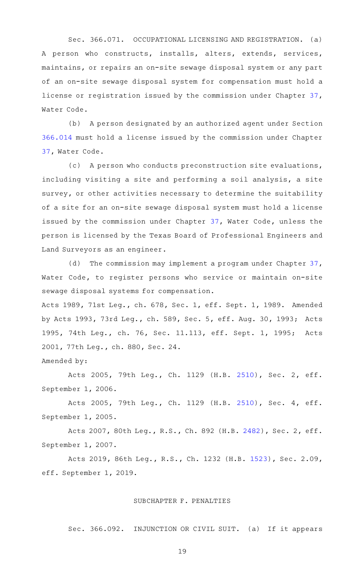Sec. 366.071. OCCUPATIONAL LICENSING AND REGISTRATION. (a) A person who constructs, installs, alters, extends, services, maintains, or repairs an on-site sewage disposal system or any part of an on-site sewage disposal system for compensation must hold a license or registration issued by the commission under Chapter [37](http://www.statutes.legis.state.tx.us/GetStatute.aspx?Code=WA&Value=37), Water Code.

(b) A person designated by an authorized agent under Section [366.014](http://www.statutes.legis.state.tx.us/GetStatute.aspx?Code=HS&Value=366.014) must hold a license issued by the commission under Chapter [37](http://www.statutes.legis.state.tx.us/GetStatute.aspx?Code=WA&Value=37), Water Code.

(c) A person who conducts preconstruction site evaluations, including visiting a site and performing a soil analysis, a site survey, or other activities necessary to determine the suitability of a site for an on-site sewage disposal system must hold a license issued by the commission under Chapter [37,](http://www.statutes.legis.state.tx.us/GetStatute.aspx?Code=WA&Value=37) Water Code, unless the person is licensed by the Texas Board of Professional Engineers and Land Surveyors as an engineer.

(d) The commission may implement a program under Chapter  $37$ , Water Code, to register persons who service or maintain on-site sewage disposal systems for compensation.

Acts 1989, 71st Leg., ch. 678, Sec. 1, eff. Sept. 1, 1989. Amended by Acts 1993, 73rd Leg., ch. 589, Sec. 5, eff. Aug. 30, 1993; Acts 1995, 74th Leg., ch. 76, Sec. 11.113, eff. Sept. 1, 1995; Acts 2001, 77th Leg., ch. 880, Sec. 24.

Amended by:

Acts 2005, 79th Leg., Ch. 1129 (H.B. [2510](http://www.legis.state.tx.us/tlodocs/79R/billtext/html/HB02510F.HTM)), Sec. 2, eff. September 1, 2006.

Acts 2005, 79th Leg., Ch. 1129 (H.B. [2510](http://www.legis.state.tx.us/tlodocs/79R/billtext/html/HB02510F.HTM)), Sec. 4, eff. September 1, 2005.

Acts 2007, 80th Leg., R.S., Ch. 892 (H.B. [2482](http://www.legis.state.tx.us/tlodocs/80R/billtext/html/HB02482F.HTM)), Sec. 2, eff. September 1, 2007.

Acts 2019, 86th Leg., R.S., Ch. 1232 (H.B. [1523](http://www.legis.state.tx.us/tlodocs/86R/billtext/html/HB01523F.HTM)), Sec. 2.09, eff. September 1, 2019.

### SUBCHAPTER F. PENALTIES

Sec. 366.092. INJUNCTION OR CIVIL SUIT. (a) If it appears